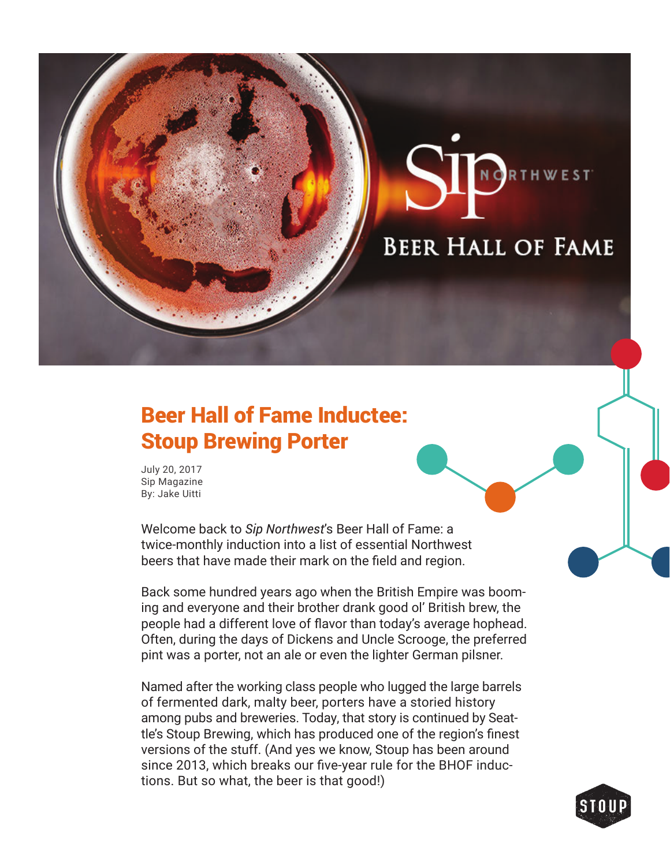## **BEER HALL OF FAME**

NORTHWEST

## Beer Hall of Fame Inductee: Stoup Brewing Porter

July 20, 2017 Sip Magazine By: Jake Uitti

Welcome back to *Sip Northwest*'s Beer Hall of Fame: a twice-monthly induction into a list of essential Northwest beers that have made their mark on the field and region.

Back some hundred years ago when the British Empire was booming and everyone and their brother drank good ol' British brew, the people had a different love of flavor than today's average hophead. Often, during the days of Dickens and Uncle Scrooge, the preferred pint was a porter, not an ale or even the lighter German pilsner.

Named after the working class people who lugged the large barrels of fermented dark, malty beer, porters have a storied history among pubs and breweries. Today, that story is continued by Seattle's Stoup Brewing, which has produced one of the region's finest versions of the stuff. (And yes we know, Stoup has been around since 2013, which breaks our five-year rule for the BHOF inductions. But so what, the beer is that good!)